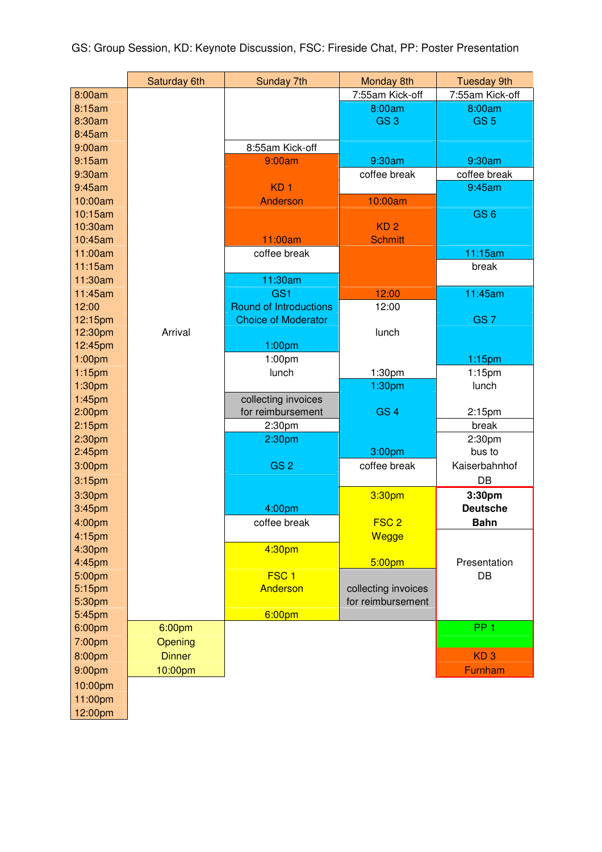|                    | Saturday 6th  | Sunday 7th                    | Monday 8th          | <b>Tuesday 9th</b> |
|--------------------|---------------|-------------------------------|---------------------|--------------------|
| 8:00am             |               |                               | 7:55am Kick-off     | 7:55am Kick-off    |
| 8:15am             |               |                               | 8:00am              | 8:00am             |
| 8:30am             |               |                               | GS <sub>3</sub>     | GS <sub>5</sub>    |
| 8:45am             |               |                               |                     |                    |
| 9:00am             |               | 8:55am Kick-off               |                     |                    |
| 9:15am             |               | 9:00am                        | 9:30am              | 9:30am             |
| 9:30am             |               |                               | coffee break        | coffee break       |
| 9:45am             |               | KD <sub>1</sub>               |                     | 9:45am             |
| 10:00am            |               | <b>Anderson</b>               | 10:00am             |                    |
| 10:15am            |               |                               |                     | GS <sub>6</sub>    |
| 10:30am            |               |                               | KD <sub>2</sub>     |                    |
| 10:45am            |               | 11:00am                       | <b>Schmitt</b>      |                    |
| 11:00am            |               | coffee break                  |                     | 11:15am            |
| 11:15am            |               |                               |                     | break              |
| 11:30am            |               | 11:30am                       |                     |                    |
| 11:45am            |               | GS <sub>1</sub>               | 12:00               | 11:45am            |
| 12:00              |               | <b>Round of Introductions</b> | 12:00               |                    |
| 12:15pm            |               | <b>Choice of Moderator</b>    |                     | GS <sub>7</sub>    |
| 12:30pm            | Arrival       |                               | lunch               |                    |
| 12:45pm            |               | 1:00pm                        |                     |                    |
| 1:00pm             |               | 1:00pm                        |                     | 1:15pm             |
| $1:15$ pm          |               | lunch                         | 1:30pm              | $1:15$ pm          |
| 1:30 <sub>pm</sub> |               |                               | 1:30pm              | lunch              |
| 1:45pm             |               | collecting invoices           |                     |                    |
| 2:00 <sub>pm</sub> |               | for reimbursement             | GS <sub>4</sub>     | $2:15$ pm          |
| 2:15 <sub>pm</sub> |               | 2:30pm                        |                     | break              |
| 2:30 <sub>pm</sub> |               | 2:30pm                        |                     | 2:30pm             |
| 2:45 <sub>pm</sub> |               |                               | 3:00pm              | bus to             |
| 3:00pm             |               | GS <sub>2</sub>               | coffee break        | Kaiserbahnhof      |
| 3:15 <sub>pm</sub> |               |                               |                     | DB                 |
| 3:30pm             |               |                               | 3:30pm              | 3:30pm             |
| 3:45pm             |               | 4:00pm                        |                     | <b>Deutsche</b>    |
| 4:00pm             |               | coffee break                  | FSC <sub>2</sub>    | <b>Bahn</b>        |
| 4:15pm             |               |                               | Wegge               |                    |
| 4:30pm             |               | 4:30pm                        |                     |                    |
| 4:45pm             |               |                               | 5:00pm              | Presentation       |
| 5:00pm             |               | FSC <sub>1</sub>              |                     | DB                 |
| 5:15pm             |               | Anderson                      | collecting invoices |                    |
| 5:30pm             |               |                               | for reimbursement   |                    |
| 5:45pm             |               | 6:00 <sub>pm</sub>            |                     |                    |
| 6:00pm             | 6:00pm        |                               |                     | PP <sub>1</sub>    |
| 7:00pm             | Opening       |                               |                     |                    |
| 8:00pm             | <b>Dinner</b> |                               |                     | KD <sub>3</sub>    |
| 9:00pm             | 10:00pm       |                               |                     | Furnham            |
| 10:00pm            |               |                               |                     |                    |
| 11:00pm            |               |                               |                     |                    |
| 12:00pm            |               |                               |                     |                    |